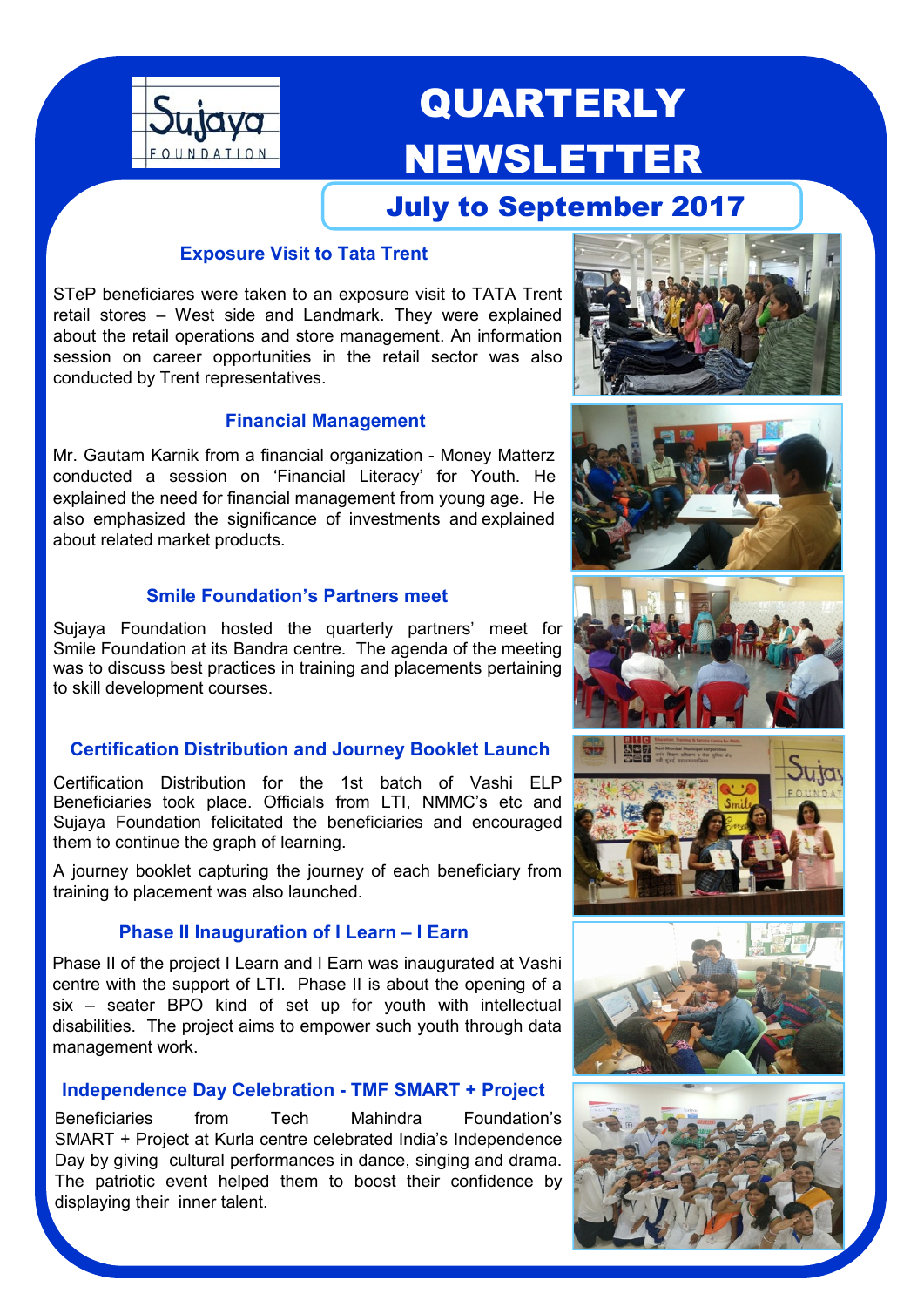

# **QUARTERLY** NEWSLETTER

### July to September 2017

#### **Exposure Visit to Tata Trent**

STeP beneficiares were taken to an exposure visit to TATA Trent retail stores – West side and Landmark. They were explained about the retail operations and store management. An information session on career opportunities in the retail sector was also conducted by Trent representatives.

#### **Financial Management**

Mr. Gautam Karnik from a financial organization - Money Matterz conducted a session on "Financial Literacy" for Youth. He explained the need for financial management from young age. He also emphasized the significance of investments and explained about related market products.

#### **Smile Foundation's Partners meet**

Sujaya Foundation hosted the quarterly partners' meet for Smile Foundation at its Bandra centre. The agenda of the meeting was to discuss best practices in training and placements pertaining to skill development courses.

#### **Certification Distribution and Journey Booklet Launch**

Certification Distribution for the 1st batch of Vashi ELP Beneficiaries took place. Officials from LTI, NMMC"s etc and Sujaya Foundation felicitated the beneficiaries and encouraged them to continue the graph of learning.

A journey booklet capturing the journey of each beneficiary from training to placement was also launched.

#### **Phase II Inauguration of I Learn – I Earn**

Phase II of the project I Learn and I Earn was inaugurated at Vashi centre with the support of LTI. Phase II is about the opening of a six – seater BPO kind of set up for youth with intellectual disabilities. The project aims to empower such youth through data management work.

#### **Independence Day Celebration - TMF SMART + Project**

Beneficiaries from Tech Mahindra Foundation"s SMART + Project at Kurla centre celebrated India"s Independence Day by giving cultural performances in dance, singing and drama. The patriotic event helped them to boost their confidence by displaying their inner talent.











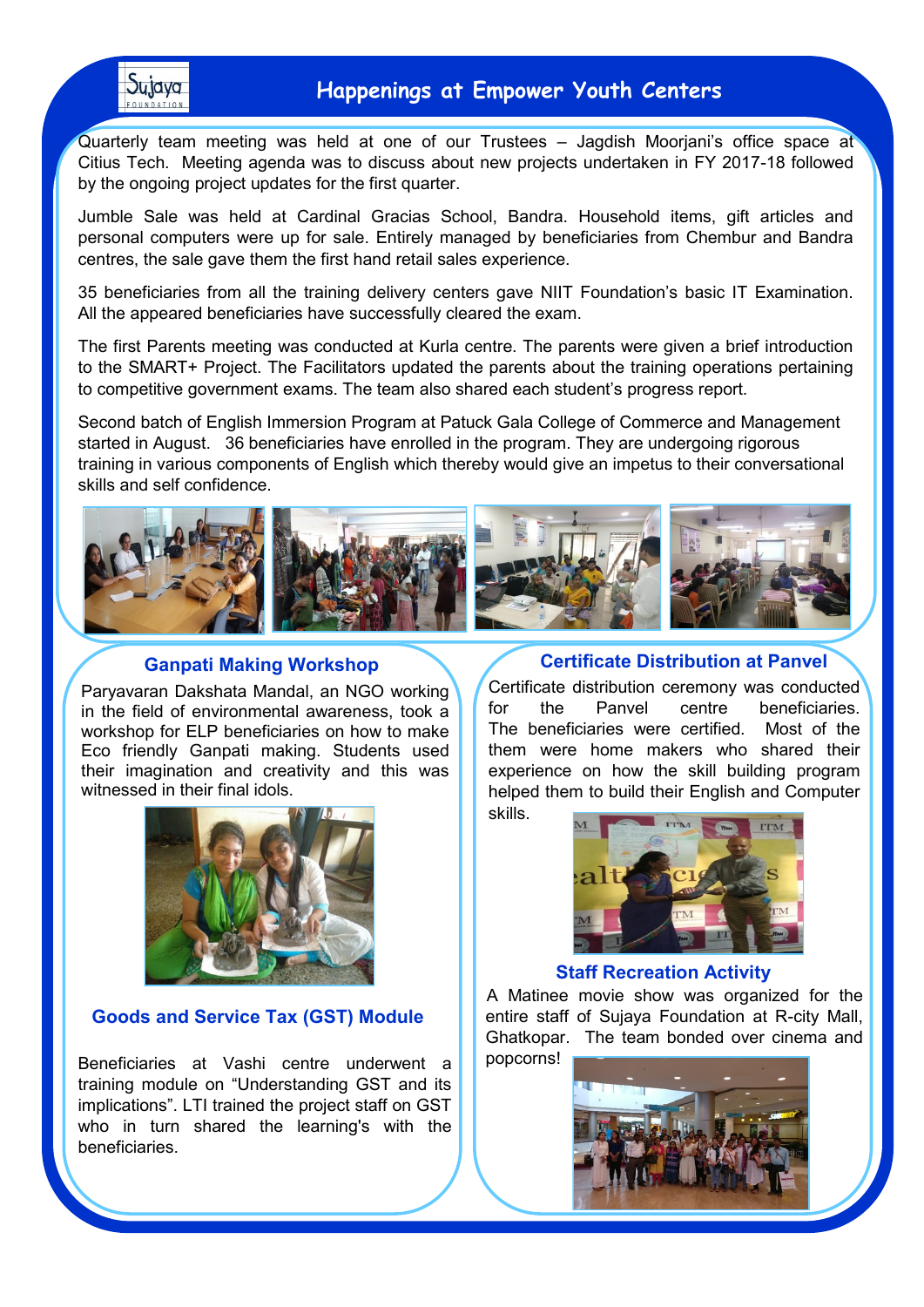

Quarterly team meeting was held at one of our Trustees - Jagdish Moorjani's office space at Citius Tech. Meeting agenda was to discuss about new projects undertaken in FY 2017-18 followed by the ongoing project updates for the first quarter.

Jumble Sale was held at Cardinal Gracias School, Bandra. Household items, gift articles and personal computers were up for sale. Entirely managed by beneficiaries from Chembur and Bandra centres, the sale gave them the first hand retail sales experience.

35 beneficiaries from all the training delivery centers gave NIIT Foundation"s basic IT Examination. All the appeared beneficiaries have successfully cleared the exam.

The first Parents meeting was conducted at Kurla centre. The parents were given a brief introduction to the SMART+ Project. The Facilitators updated the parents about the training operations pertaining to competitive government exams. The team also shared each student"s progress report.

Second batch of English Immersion Program at Patuck Gala College of Commerce and Management started in August. 36 beneficiaries have enrolled in the program. They are undergoing rigorous training in various components of English which thereby would give an impetus to their conversational skills and self confidence.



#### **Ganpati Making Workshop**

Paryavaran Dakshata Mandal, an NGO working in the field of environmental awareness, took a workshop for ELP beneficiaries on how to make Eco friendly Ganpati making. Students used their imagination and creativity and this was witnessed in their final idols.



#### **Goods and Service Tax (GST) Module**

Beneficiaries at Vashi centre underwent a training module on "Understanding GST and its implications". LTI trained the project staff on GST who in turn shared the learning's with the beneficiaries.

#### **Certificate Distribution at Panvel**

Certificate distribution ceremony was conducted for the Panvel centre beneficiaries. The beneficiaries were certified. Most of the them were home makers who shared their experience on how the skill building program helped them to build their English and Computer





#### **Staff Recreation Activity**

A Matinee movie show was organized for the entire staff of Sujaya Foundation at R-city Mall, Ghatkopar. The team bonded over cinema and popcorns!